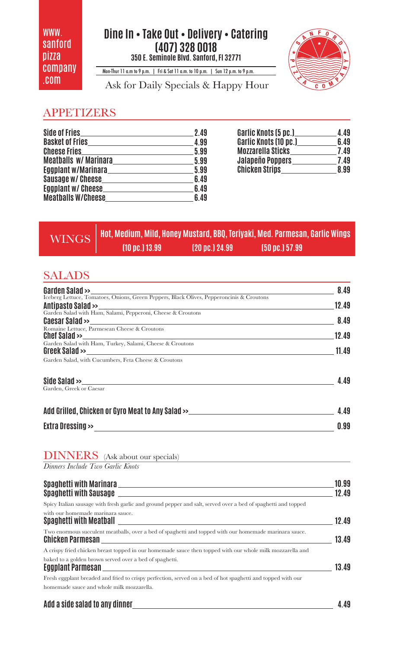#### WWW. sanford pizza company  $.00<sub>m</sub>$

### **Dine In • Take Out • Delivery • Catering (407) 328 0018 350 E. Seminole Blvd. Sanford, Fl 32771**

Mon-Thur 11 a.m to 9 p.m. | Fri & Sat 11 a.m. to 10 p.m. | Sun 12 p.m. to 9 p.m.



Ask for Daily Specials & Happy Hour

## APPETIZERS

| <b>Side of Fries</b>         | 2.49 |
|------------------------------|------|
| <b>Basket of Fries</b>       | 4.99 |
| <b>Cheese Fries</b>          | 5.99 |
| <b>Meatballs W/ Marinara</b> | 5.99 |
| Eggplant w/Marinara          | 5.99 |
| <b>Sausage W/ Cheese</b>     | 6.49 |
| <b>Eggplant w/ Cheese</b>    | 6.49 |
| <b>Meatballs W/Cheese</b>    | 6.49 |

| <b>Garlic Knots (5 pc.)</b> | 4.49 |
|-----------------------------|------|
| Garlic Knots (10 pc.)       | 6.49 |
| <b>Mozzarella Sticks</b>    | 7.49 |
| <b>Jalapeño Poppers</b>     | 7.49 |
| <b>Chicken Strips</b>       | 8.99 |

#### **Hot, Medium, Mild, Honey Mustard, BBQ, Teriyaki, Med. Parmesan, Garlic Wings (10 pc.) 13.99 (20 pc.) 24.99 (50 pc.) 57.99 WINGS**

## SALADS

| Garden Salad >>                                                                                                                                                                           | 8.49  |
|-------------------------------------------------------------------------------------------------------------------------------------------------------------------------------------------|-------|
| Iceberg Lettuce, Tomatoes, Onions, Green Peppers, Black Olives, Pepperoncinis & Croutons<br>Antipasto Salad >>                                                                            | 12.49 |
| Garden Salad with Ham, Salami, Pepperoni, Cheese & Croutons                                                                                                                               |       |
| Caesar Salad >>                                                                                                                                                                           | 8.49  |
| Romaine Lettuce, Parmesean Cheese & Croutons<br>Chef Salad $\gg$                                                                                                                          | 12.49 |
| Garden Salad with Ham, Turkey, Salami, Cheese & Croutons                                                                                                                                  |       |
| Greek Salad >>                                                                                                                                                                            | 11.49 |
| Garden Salad, with Cucumbers, Feta Cheese & Croutons                                                                                                                                      |       |
| Side Salad >>                                                                                                                                                                             | 4.49  |
| Garden, Greek or Caesar                                                                                                                                                                   |       |
|                                                                                                                                                                                           |       |
| Add Grilled, Chicken or Gyro Meat to Any Salad >> ________                                                                                                                                | 4.49  |
| Extra Dressing >><br><u> 1980 - John Stein, Amerikaansk politiker (</u>                                                                                                                   | 0.99  |
| <b>DINNERS</b> (Ask about our specials)                                                                                                                                                   |       |
| Dinners Include Two Garlic Knots                                                                                                                                                          |       |
|                                                                                                                                                                                           | 10.99 |
| <b>Spaghetti with Sausage</b>                                                                                                                                                             | 12.49 |
| Spicy Italian sausage with fresh garlic and ground pepper and salt, served over a bed of spaghetti and topped                                                                             |       |
| with our homemade marinara sauce.<br><b>Spaghetti with Meatball</b>                                                                                                                       | 12.49 |
| Two enormous succulent meatballs, over a bed of spaghetti and topped with our homemade marinara sauce.<br><b>Chicken Parmesan</b><br><u> 1980 - Johann Barn, fransk politik (d. 1980)</u> | 13.49 |
| A crispy fried chicken breast topped in our homemade sauce then topped with our whole milk mozzarella and                                                                                 |       |
| baked to a golden brown served over a bed of spaghetti.                                                                                                                                   | 13.49 |
| Eggplant Parmesan                                                                                                                                                                         |       |
| Fresh eggplant breaded and fried to crispy perfection, served on a bed of hot spaghetti and topped with our<br>homemade sauce and whole milk mozzarella.                                  |       |
|                                                                                                                                                                                           |       |

#### **Add a side salad to any dinner**